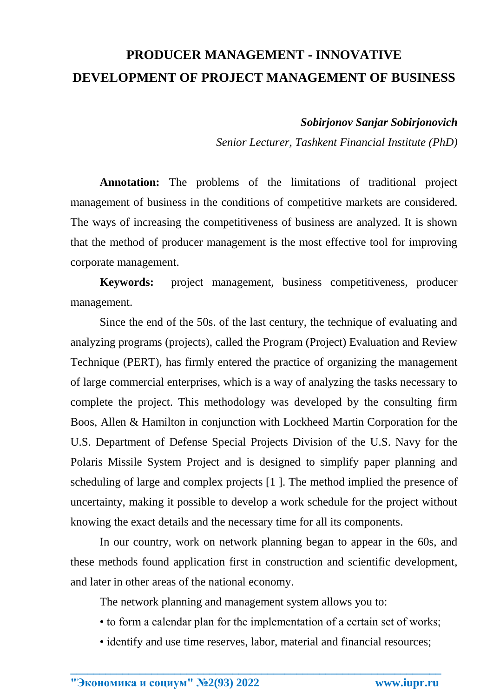## **PRODUCER MANAGEMENT - INNOVATIVE DEVELOPMENT OF PROJECT MANAGEMENT OF BUSINESS**

*Sobirjonov Sanjar Sobirjonovich*

*Senior Lecturer, Tashkent Financial Institute (PhD)*

**Annotation:** The problems of the limitations of traditional project management of business in the conditions of competitive markets are considered. The ways of increasing the competitiveness of business are analyzed. It is shown that the method of producer management is the most effective tool for improving corporate management.

**Keywords:** project management, business competitiveness, producer management.

Since the end of the 50s. of the last century, the technique of evaluating and analyzing programs (projects), called the Program (Project) Evaluation and Review Technique (PERT), has firmly entered the practice of organizing the management of large commercial enterprises, which is a way of analyzing the tasks necessary to complete the project. This methodology was developed by the consulting firm Boos, Allen & Hamilton in conjunction with Lockheed Martin Corporation for the U.S. Department of Defense Special Projects Division of the U.S. Navy for the Polaris Missile System Project and is designed to simplify paper planning and scheduling of large and complex projects [1 ]. The method implied the presence of uncertainty, making it possible to develop a work schedule for the project without knowing the exact details and the necessary time for all its components.

In our country, work on network planning began to appear in the 60s, and these methods found application first in construction and scientific development, and later in other areas of the national economy.

The network planning and management system allows you to:

- to form a calendar plan for the implementation of a certain set of works;
- identify and use time reserves, labor, material and financial resources;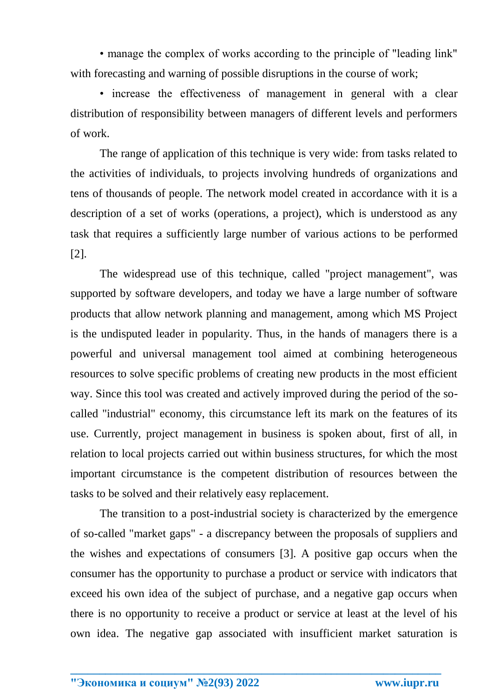• manage the complex of works according to the principle of "leading link" with forecasting and warning of possible disruptions in the course of work;

• increase the effectiveness of management in general with a clear distribution of responsibility between managers of different levels and performers of work.

The range of application of this technique is very wide: from tasks related to the activities of individuals, to projects involving hundreds of organizations and tens of thousands of people. The network model created in accordance with it is a description of a set of works (operations, a project), which is understood as any task that requires a sufficiently large number of various actions to be performed [2].

The widespread use of this technique, called "project management", was supported by software developers, and today we have a large number of software products that allow network planning and management, among which MS Project is the undisputed leader in popularity. Thus, in the hands of managers there is a powerful and universal management tool aimed at combining heterogeneous resources to solve specific problems of creating new products in the most efficient way. Since this tool was created and actively improved during the period of the socalled "industrial" economy, this circumstance left its mark on the features of its use. Currently, project management in business is spoken about, first of all, in relation to local projects carried out within business structures, for which the most important circumstance is the competent distribution of resources between the tasks to be solved and their relatively easy replacement.

The transition to a post-industrial society is characterized by the emergence of so-called "market gaps" - a discrepancy between the proposals of suppliers and the wishes and expectations of consumers [3]. A positive gap occurs when the consumer has the opportunity to purchase a product or service with indicators that exceed his own idea of the subject of purchase, and a negative gap occurs when there is no opportunity to receive a product or service at least at the level of his own idea. The negative gap associated with insufficient market saturation is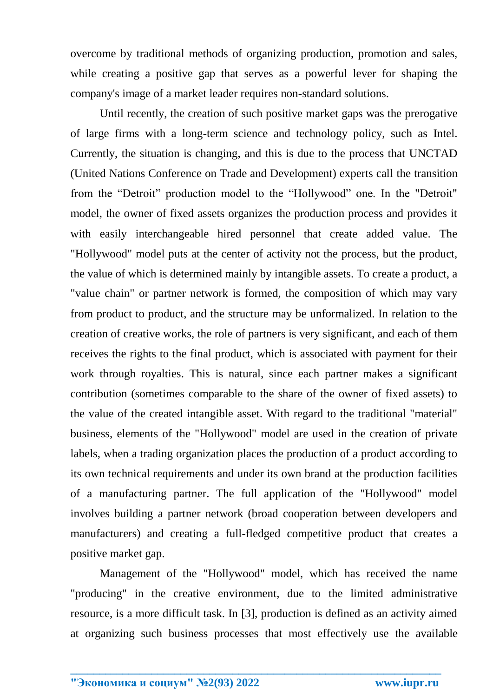overcome by traditional methods of organizing production, promotion and sales, while creating a positive gap that serves as a powerful lever for shaping the company's image of a market leader requires non-standard solutions.

Until recently, the creation of such positive market gaps was the prerogative of large firms with a long-term science and technology policy, such as Intel. Currently, the situation is changing, and this is due to the process that UNCTAD (United Nations Conference on Trade and Development) experts call the transition from the "Detroit" production model to the "Hollywood" one. In the "Detroit" model, the owner of fixed assets organizes the production process and provides it with easily interchangeable hired personnel that create added value. The "Hollywood" model puts at the center of activity not the process, but the product, the value of which is determined mainly by intangible assets. To create a product, a "value chain" or partner network is formed, the composition of which may vary from product to product, and the structure may be unformalized. In relation to the creation of creative works, the role of partners is very significant, and each of them receives the rights to the final product, which is associated with payment for their work through royalties. This is natural, since each partner makes a significant contribution (sometimes comparable to the share of the owner of fixed assets) to the value of the created intangible asset. With regard to the traditional "material" business, elements of the "Hollywood" model are used in the creation of private labels, when a trading organization places the production of a product according to its own technical requirements and under its own brand at the production facilities of a manufacturing partner. The full application of the "Hollywood" model involves building a partner network (broad cooperation between developers and manufacturers) and creating a full-fledged competitive product that creates a positive market gap.

Management of the "Hollywood" model, which has received the name "producing" in the creative environment, due to the limited administrative resource, is a more difficult task. In [3], production is defined as an activity aimed at organizing such business processes that most effectively use the available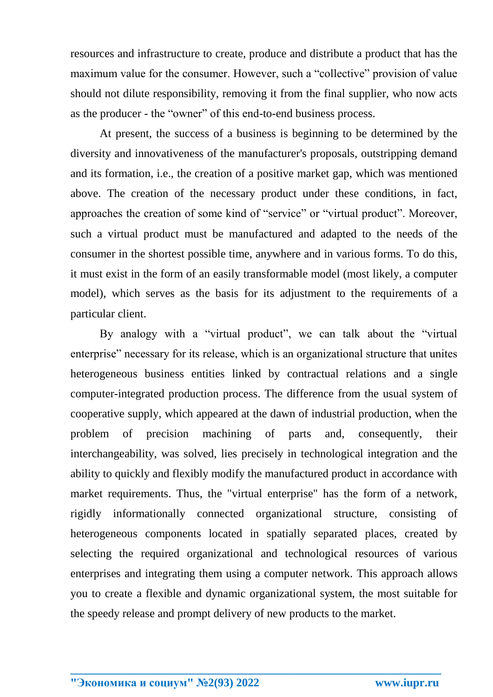resources and infrastructure to create, produce and distribute a product that has the maximum value for the consumer. However, such a "collective" provision of value should not dilute responsibility, removing it from the final supplier, who now acts as the producer - the "owner" of this end-to-end business process.

At present, the success of a business is beginning to be determined by the diversity and innovativeness of the manufacturer's proposals, outstripping demand and its formation, i.e., the creation of a positive market gap, which was mentioned above. The creation of the necessary product under these conditions, in fact, approaches the creation of some kind of "service" or "virtual product". Moreover, such a virtual product must be manufactured and adapted to the needs of the consumer in the shortest possible time, anywhere and in various forms. To do this, it must exist in the form of an easily transformable model (most likely, a computer model), which serves as the basis for its adjustment to the requirements of a particular client.

By analogy with a "virtual product", we can talk about the "virtual enterprise" necessary for its release, which is an organizational structure that unites heterogeneous business entities linked by contractual relations and a single computer-integrated production process. The difference from the usual system of cooperative supply, which appeared at the dawn of industrial production, when the problem of precision machining of parts and, consequently, their interchangeability, was solved, lies precisely in technological integration and the ability to quickly and flexibly modify the manufactured product in accordance with market requirements. Thus, the "virtual enterprise" has the form of a network, rigidly informationally connected organizational structure, consisting of heterogeneous components located in spatially separated places, created by selecting the required organizational and technological resources of various enterprises and integrating them using a computer network. This approach allows you to create a flexible and dynamic organizational system, the most suitable for the speedy release and prompt delivery of new products to the market.